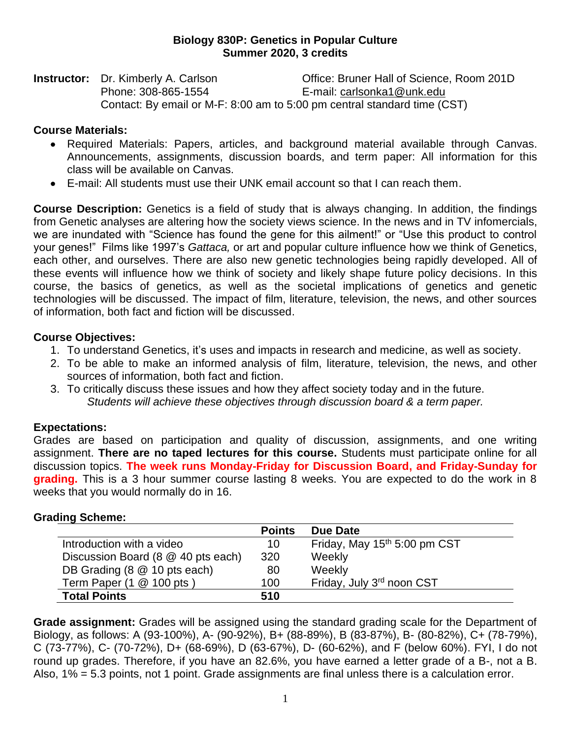### **Biology 830P: Genetics in Popular Culture Summer 2020, 3 credits**

**Instructor:** Dr. Kimberly A. Carlson **Democration Contract Contract Contract Proper** Contract Density Office: Bruner Hall of Science, Room 201D Phone: 308-865-1554 E-mail: [carlsonka1@unk.edu](mailto:carlsonka1@unk.edu) Contact: By email or M-F: 8:00 am to 5:00 pm central standard time (CST)

## **Course Materials:**

- Required Materials: Papers, articles, and background material available through Canvas. Announcements, assignments, discussion boards, and term paper: All information for this class will be available on Canvas.
- E-mail: All students must use their UNK email account so that I can reach them.

**Course Description:** Genetics is a field of study that is always changing. In addition, the findings from Genetic analyses are altering how the society views science. In the news and in TV infomercials, we are inundated with "Science has found the gene for this ailment!" or "Use this product to control your genes!" Films like 1997's *Gattaca,* or art and popular culture influence how we think of Genetics, each other, and ourselves. There are also new genetic technologies being rapidly developed. All of these events will influence how we think of society and likely shape future policy decisions. In this course, the basics of genetics, as well as the societal implications of genetics and genetic technologies will be discussed. The impact of film, literature, television, the news, and other sources of information, both fact and fiction will be discussed.

### **Course Objectives:**

- 1. To understand Genetics, it's uses and impacts in research and medicine, as well as society.
- 2. To be able to make an informed analysis of film, literature, television, the news, and other sources of information, both fact and fiction.
- 3. To critically discuss these issues and how they affect society today and in the future. *Students will achieve these objectives through discussion board & a term paper.*

# **Expectations:**

Grades are based on participation and quality of discussion, assignments, and one writing assignment. **There are no taped lectures for this course.** Students must participate online for all discussion topics. **The week runs Monday-Friday for Discussion Board, and Friday-Sunday for grading.** This is a 3 hour summer course lasting 8 weeks. You are expected to do the work in 8 weeks that you would normally do in 16.

|                                     | <b>Points</b> | Due Date                     |
|-------------------------------------|---------------|------------------------------|
| Introduction with a video           | 10            | Friday, May 15th 5:00 pm CST |
| Discussion Board (8 @ 40 pts each)  | 320           | Weekly                       |
| DB Grading (8 @ 10 pts each)        | 80            | Weekly                       |
| Term Paper $(1 \& 100 \text{ pts})$ | 100           | Friday, July 3rd noon CST    |
| <b>Total Points</b>                 | 510           |                              |

### **Grading Scheme:**

**Grade assignment:** Grades will be assigned using the standard grading scale for the Department of Biology, as follows: A (93-100%), A- (90-92%), B+ (88-89%), B (83-87%), B- (80-82%), C+ (78-79%), C (73-77%), C- (70-72%), D+ (68-69%), D (63-67%), D- (60-62%), and F (below 60%). FYI, I do not round up grades. Therefore, if you have an 82.6%, you have earned a letter grade of a B-, not a B. Also, 1% = 5.3 points, not 1 point. Grade assignments are final unless there is a calculation error.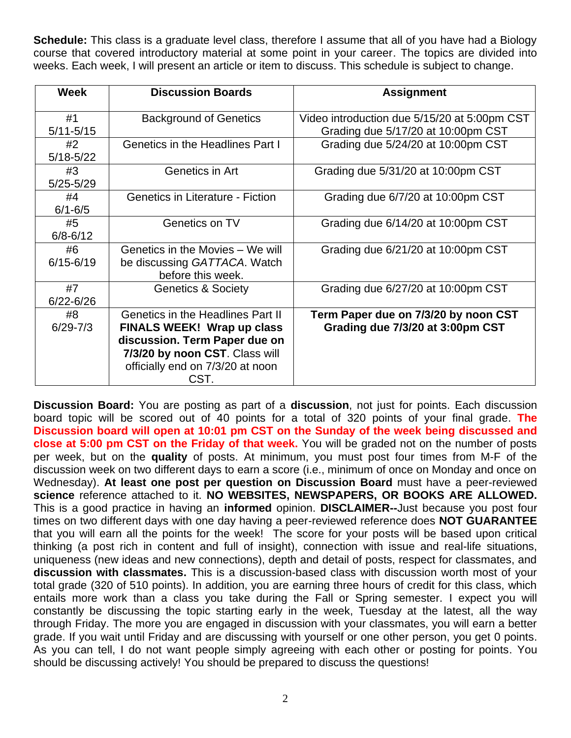**Schedule:** This class is a graduate level class, therefore I assume that all of you have had a Biology course that covered introductory material at some point in your career. The topics are divided into weeks. Each week, I will present an article or item to discuss. This schedule is subject to change.

| <b>Week</b>         | <b>Discussion Boards</b>                                                                                                                                                              | <b>Assignment</b>                                                                  |
|---------------------|---------------------------------------------------------------------------------------------------------------------------------------------------------------------------------------|------------------------------------------------------------------------------------|
| #1<br>$5/11 - 5/15$ | <b>Background of Genetics</b>                                                                                                                                                         | Video introduction due 5/15/20 at 5:00pm CST<br>Grading due 5/17/20 at 10:00pm CST |
| #2<br>$5/18 - 5/22$ | Genetics in the Headlines Part I                                                                                                                                                      | Grading due 5/24/20 at 10:00pm CST                                                 |
| #3<br>$5/25 - 5/29$ | Genetics in Art                                                                                                                                                                       | Grading due 5/31/20 at 10:00pm CST                                                 |
| #4<br>$6/1 - 6/5$   | <b>Genetics in Literature - Fiction</b>                                                                                                                                               | Grading due 6/7/20 at 10:00pm CST                                                  |
| #5<br>$6/8 - 6/12$  | Genetics on TV                                                                                                                                                                        | Grading due 6/14/20 at 10:00pm CST                                                 |
| #6<br>$6/15 - 6/19$ | Genetics in the Movies - We will<br>be discussing GATTACA. Watch<br>before this week.                                                                                                 | Grading due 6/21/20 at 10:00pm CST                                                 |
| #7<br>$6/22 - 6/26$ | <b>Genetics &amp; Society</b>                                                                                                                                                         | Grading due 6/27/20 at 10:00pm CST                                                 |
| #8<br>$6/29 - 7/3$  | Genetics in the Headlines Part II<br><b>FINALS WEEK! Wrap up class</b><br>discussion. Term Paper due on<br>7/3/20 by noon CST. Class will<br>officially end on 7/3/20 at noon<br>CST. | Term Paper due on 7/3/20 by noon CST<br>Grading due 7/3/20 at 3:00pm CST           |

**Discussion Board:** You are posting as part of a **discussion**, not just for points. Each discussion board topic will be scored out of 40 points for a total of 320 points of your final grade. **The Discussion board will open at 10:01 pm CST on the Sunday of the week being discussed and close at 5:00 pm CST on the Friday of that week.** You will be graded not on the number of posts per week, but on the **quality** of posts. At minimum, you must post four times from M-F of the discussion week on two different days to earn a score (i.e., minimum of once on Monday and once on Wednesday). **At least one post per question on Discussion Board** must have a peer-reviewed **science** reference attached to it. **NO WEBSITES, NEWSPAPERS, OR BOOKS ARE ALLOWED.**  This is a good practice in having an **informed** opinion. **DISCLAIMER--**Just because you post four times on two different days with one day having a peer-reviewed reference does **NOT GUARANTEE**  that you will earn all the points for the week! The score for your posts will be based upon critical thinking (a post rich in content and full of insight), connection with issue and real-life situations, uniqueness (new ideas and new connections), depth and detail of posts, respect for classmates, and **discussion with classmates.** This is a discussion-based class with discussion worth most of your total grade (320 of 510 points). In addition, you are earning three hours of credit for this class, which entails more work than a class you take during the Fall or Spring semester. I expect you will constantly be discussing the topic starting early in the week, Tuesday at the latest, all the way through Friday. The more you are engaged in discussion with your classmates, you will earn a better grade. If you wait until Friday and are discussing with yourself or one other person, you get 0 points. As you can tell, I do not want people simply agreeing with each other or posting for points. You should be discussing actively! You should be prepared to discuss the questions!